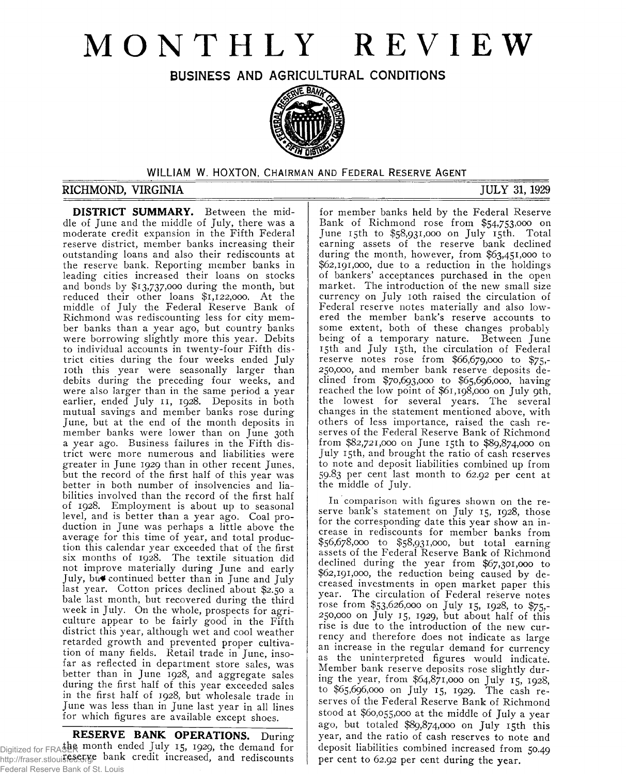# **MONTHLY REVIEW**

## **BUSINESS AND AGRICULTURAL CONDITIONS**



#### WILLIAM W. HOXTON, **CHAIRMAN AND FEDERAL RESERVE AGENT**

#### **RICHMOND, VIRGINIA JULY 31, 1929**

**DISTRICT SUMMARY.** Between the middle of June and the middle of July, there was a moderate credit expansion in the Fifth Federal reserve district, member banks increasing their outstanding loans and also their rediscounts at the reserve bank. Reporting member banks in leading cities increased their loans on stocks and bonds by \$13,737,000 during the month, but reduced their other loans \$1,122,000. At the middle of July the Federal Reserve Bank of Richmond was rediscounting less for city member banks than a year ago, but country banks were borrowing slightly more this year. Debits to individual accounts in twenty-four Fifth district cities during the four weeks ended July 10th this year were seasonally larger than debits during the preceding four weeks, and were also larger than in the same period a year earlier, ended July 11, 1928. Deposits in both mutual savings and member banks rose during June, but at the end of the month deposits in member banks were lower than on June 30th a year ago. Business failures in the Fifth district were more numerous and liabilities were greater in June 1929 than in other recent Junes, but the record of the first half of this year was better in both number of insolvencies and liabilities involved than the record of the first half of 1928. Employment is about up to seasonal level, and is better than a year ago. Coal production in June was perhaps a little above the average for this time of year, and total production this calendar year exceeded that of the first six months of 1928. The textile situation did not improve materially during June and early July, bn\* continued better than in June and July last year. Cotton prices declined about \$2.50 a bale last month, but recovered during the third week in July. On the whole, prospects for agriculture appear to be fairly good in the Fifth district this year, although wet and cool weather retarded growth and prevented proper cultivation of many fields. Retail trade in June, insofar as reflected in department store sales, was better than in June 1928, and aggregate sales during the first half of this year exceeded sales in the first half of 1928, but wholesale trade in June was less than in June last year in all lines for which figures are available except shoes.

**RESERVE BANK OPERATIONS.** During Digitized for FRASER month ended July 15, 1929, the demand for http://fraser.stlouisfed.orge bank credit increased, and rediscounts Federal Reserve Bank of St. Louis

for member banks held by the Federal Reserve Bank of Richmond rose from \$54,753,000 on June 15th to \$58,931,000 on July 15th. Total earning assets of the reserve bank declined during the month, however, from \$63,451,000 to \$62,191,000, due to a reduction in the holdings of bankers' acceptances purchased in the open market. The introduction of the new small size currency on July 10th raised the circulation of Federal reserve notes materially and also lowered the member bank's reserve accounts to some extent, both of these changes probably being of a temporary nature. Between June 15th and July 15th, the circulation of Federal reserve notes rose from \$66,679,000 to \$75,- 250,000, and member bank reserve deposits declined from \$70,693,000 to \$65,696,000, having reached the low point of \$61,198,000 on July 9th, the lowest for several years. The several changes in the statement mentioned above, with others of less importance, raised the cash reserves of the Federal Reserve Bank of Richmond from \$82,721,000 on June 15th to \$89,874,000 on July 15th, and brought the ratio of cash reserves to note and deposit liabilities combined up from 59.83 per cent last month to 62.92 per cent at the middle of July.

In comparison with figures shown on the reserve bank's statement on July 15, 1928, those for the corresponding date this year show an increase in rediscounts for member banks from \$56,678,000 to \$58,931,000, but total earning assets of the Federal Reserve Bank of Richmond declined during the year from \$67,301,000 to \$62,191,000, the reduction being caused by decreased investments in open market paper this year. The circulation of Federal reserve notes rose from \$53,626,000 on July 15, 1928, to \$75,- 250,000 on July 15, 1929, but about half of this rise is due to the introduction of the new currency and therefore does not indicate as large an increase in the regular demand for currency as the uninterpreted figures would indicate. Member bank reserve deposits rose slightly during the year, from \$64,871,000 on July 15, 1928, to \$65,696,000 on July 15, 1929. The cash reserves of the Federal Reserve Bank of Richmond stood at \$60,055,000 at the middle of July a year ago, but totaled \$89,874,000 on July 15th this year, and the ratio of cash reserves to note and deposit liabilities combined increased from 50.49 per cent to 62.92 per cent during the year.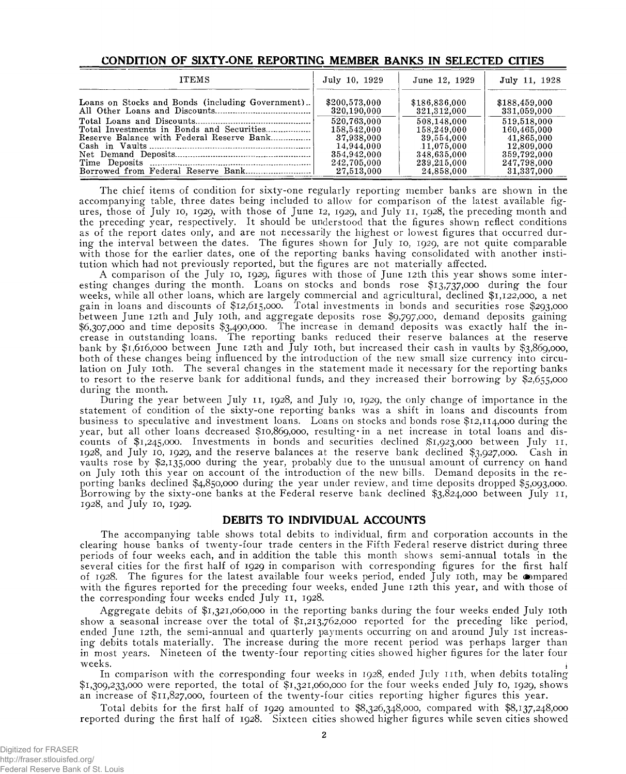| <b>ITEMS</b>                                      | July 10, 1929 | June 12, 1929 | July 11, 1928 |
|---------------------------------------------------|---------------|---------------|---------------|
| Loans on Stocks and Bonds (including Government). | \$200,573,000 | \$186,836,000 | \$188,459,000 |
|                                                   | 320,190,000   | 321,312,000   | 331,059,000   |
|                                                   | 520.763.000   | 508,148,000   | 519,518,000   |
|                                                   | 158,542,000   | 158,249,000   | 160,465,000   |
| Reserve Balance with Federal Reserve Bank         | 37.938.000    | 39,554,000    | 41,865,000    |
|                                                   | 14,944,000    | 11,075,000    | 12,809,000    |
|                                                   | 354,942,000   | 348,635,000   | 359,792,000   |
|                                                   | 242,705,000   | 239,215,000   | 247,798,000   |
|                                                   | 27,513,000    | 24,858,000    | 31,337,000    |

#### **CONDITION OF SIXTY-ONE REPORTING MEMBER BANKS IN SELECTED CITIES**

The chief items of condition for sixty-one regularly reporting member banks are shown in the accompanying table, three dates being included to allow for comparison of the latest available figures, those of July 10, 1929, with those of June 12, 1929, and July 11, 1928, the preceding month and the preceding year, respectively. It should be understood that the figures shown reflect conditions as of the report dates only, and are not necessarily the highest or lowest figures that occurred during the interval between the dates. The figures shown for July 10, 1929, are not quite comparable with those for the earlier dates, one of the reporting banks having consolidated with another institution which had not previously reported, but the figures are not materially affected.

A comparison of the July 10, 1929, figures with those of June 12th this year shows some interesting changes during the month. Loans on stocks and bonds rose \$13,737,000 during the four weeks, while all other loans, which are largely commercial and agricultural, declined \$1,122,000, a net gain in loans and discounts of \$12,615,000. Total investments in bonds and securities rose \$293,000 between June 12th and July 10th, and aggregate deposits rose \$9,797,000, demand deposits gaining \$6,307,000 and time deposits \$3,490,000. The increase in demand deposits was exactly half the increase in outstanding loans. The reporting banks reduced their reserve balances at the reserve bank by \$1,616,000 between June 12th and July 10th, but increased their cash in vaults by \$3,869,000, both of these changes being influenced by the introduction of the new small size currency into circulation on July 10th. The several changes in the statement made it necessary for the reporting banks to resort to the reserve bank for additional funds, and they increased their borrowing by  $\frac{2.655,000}{2}$ during the month.

During the year between July 11, 1928, and July 10, 1929, the only change of importance in the statement of condition of the sixty-one reporting banks was a shift in loans and discounts from business to speculative and investment loans. Loans on stocks and bonds rose \$12,114,000 during the year, but all other loans decreased \$10,869,000, resulting in a net increase in total loans and discounts of \$1,245,000. Investments in bonds and securities declined \$1,923,000 between July 11, 1928, and July 10, 1929, and the reserve balances at the reserve bank declined \$3,927,000. Cash in vaults rose by \$2,135,000 during the year, probably due to the unusual amount of currency on hand on July 10th this year on account of the introduction of the new bills. Demand deposits in the reporting banks declined \$4,850,000 during the year under review, and time deposits dropped \$5,093,000. Borrowing by the sixty-one banks at the Federal reserve bank declined  $\frac{1}{3}$ ,  $\frac{52}{4}$ ,000 between July 11, 1928, and July 10, 1929.

#### **DEBITS TO INDIVIDUAL ACCOUNTS**

The accompanying table shows total debits to individual, firm and corporation accounts in the clearing house banks of twenty-four trade centers in the Fifth Federal reserve district during three periods of four weeks each, and in addition the table this month shows semi-annual totals in the several cities for the first half of 1929 in comparison with corresponding figures for the first half of 1928. The figures for the latest available four weeks period, ended July 10th, may be  $\omega$ mpared with the figures reported for the preceding four weeks, ended June 12th this year, and with those of the corresponding four weeks ended July 11, 1928.

Aggregate debits of \$1,321,060,000 in the reporting banks during the four weeks ended July 10th show a seasonal increase over the total of \$1,213,762,000 reported for the preceding like period, ended June 12th, the semi-annual and quarterly payments occurring on and around July 1st increasing debits totals materially. The increase during the more recent period was perhaps larger than in most years. Nineteen of the twenty-four reporting cities showed higher figures for the later four  $\blacksquare$  weeks.

In comparison with the corresponding four weeks in 1928, ended July 11th, when debits totaling \$1,309,233,000 were reported, the total of \$1,321,060,000 for the four weeks ended July lo, 1929, shows an increase of \$11,827,000, fourteen of the twenty-four cities reporting higher figures this year.

Total debits for the first half of 1929 amounted to \$8,326,348,000, compared with \$8,137,248,000 reported during the first half of 1928. Sixteen cities showed higher figures while seven cities showed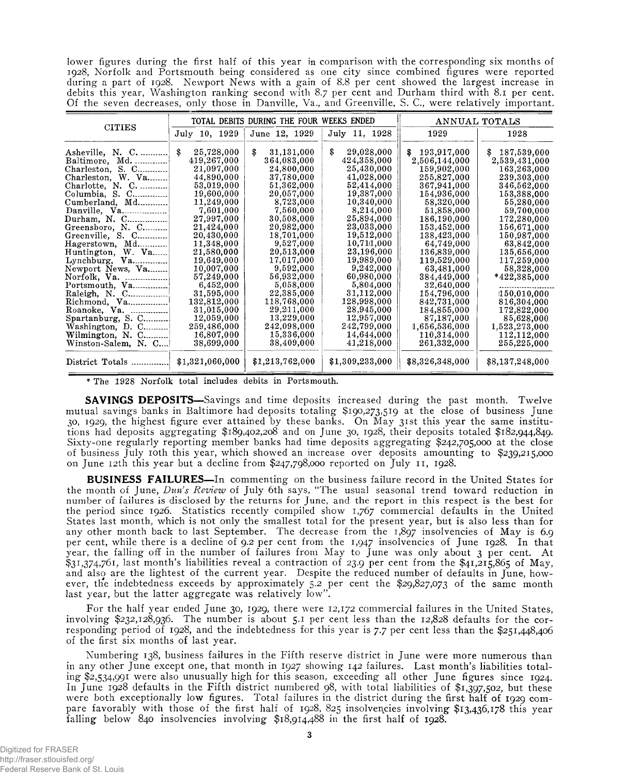lower figures during the first half of this year in comparison with the corresponding six months of 1928, Norfolk and Portsmouth being considered as one city since combined figures were reported during a part of 1928. Newport News with a gain of 8.8 per cent showed the largest increase in debits this year, Washington ranking second with 8.7 per cent and Durham third with 8.1 per cent. Of the seven decreases, only those in Danville, Va., and Greenville, S. C., were relatively important.

| <b>CITIES</b>                                                                                                                                                                                                                 |                                                                                                                                                                             | TOTAL DEBITS DURING THE FOUR WEEKS ENDED                                                                                                                                 | ANNUAL TOTALS                                                                                                                                                              |                                                                                                                                                                                       |                                                                                                                                                                                       |
|-------------------------------------------------------------------------------------------------------------------------------------------------------------------------------------------------------------------------------|-----------------------------------------------------------------------------------------------------------------------------------------------------------------------------|--------------------------------------------------------------------------------------------------------------------------------------------------------------------------|----------------------------------------------------------------------------------------------------------------------------------------------------------------------------|---------------------------------------------------------------------------------------------------------------------------------------------------------------------------------------|---------------------------------------------------------------------------------------------------------------------------------------------------------------------------------------|
|                                                                                                                                                                                                                               | July 10, 1929                                                                                                                                                               | June 12, 1929                                                                                                                                                            | July 11, 1928                                                                                                                                                              | 1929                                                                                                                                                                                  | 1928                                                                                                                                                                                  |
| Asheville, N. C.<br>Baltimore, Md.<br>Charleston, S. C<br>Charleston, W. Va<br>Charlotte, N. C.<br>Columbia, S. C<br>Cumberland, Md<br>Danville, Va<br>Durham, N. C<br>Greensboro, N. C<br>Greenville, S. C<br>Hagerstown, Md | \$<br>25,728,000<br>419,267,000<br>21,097,000<br>44,890,000<br>53,019,000<br>19,600,000<br>11,249,000<br>7,601,000<br>27,997,000<br>21,424,000<br>20,430,000<br>11,348,000  | \$<br>31,131,000<br>364,083,000<br>24,800,000<br>37,780,000<br>51,362,000<br>20,057,000<br>8,723,000<br>7,560,000<br>30,508,000<br>20,982,000<br>18,701,000<br>9,527,000 | \$<br>29,028,000<br>424,358,000<br>25,430,000<br>41,028,000<br>52,414,000<br>19,387,000<br>10,340,000<br>8,214,000<br>25,894,000<br>23,033,000<br>19,512,000<br>10,711,000 | 193,917,000<br>\$<br>2,506,144,000<br>159,902,000<br>255,827,000<br>367,941,000<br>154,936,000<br>58,320,000<br>51,858,000<br>186,190,000<br>153,452,000<br>138,423,000<br>64,749,000 | 187,539,000<br>\$<br>2,539,431,000<br>163,263,000<br>239,303,000<br>346,562,000<br>153,388,000<br>55,280,000<br>59,700,000<br>172,280,000<br>156,671,000<br>150,987,000<br>63,842,000 |
| Huntington, W. Va<br>Newport News, Va<br>Norfolk, Va.<br>Portsmouth, Va<br>Raleigh, N. C<br>Richmond, Va<br>Roanoke. Va.<br>Spartanburg, S. C<br>Washington, D. C<br>Wilmington, N. C<br>Winston-Salem, N. C                  | 21,580,000<br>19,649,000<br>10,007,000<br>57,249,000<br>6,452,000<br>$31{,}595{,}000$<br>132,812,000<br>31,015,000<br>12,059,000<br>259,486,000<br>16,807,000<br>38,699,000 | 20,513,000<br>17,017,000<br>9,592,000<br>56,932,000<br>5,058,000<br>22,385,000<br>118,768,000<br>29,211,000<br>13,229,000<br>242,098,000<br>15,336,000<br>38,409,000     | 23,196,000<br>19,989,000<br>9,242,000<br>60,980,000<br>5,804,000<br>31,112,000<br>128,998,000<br>28,945,000<br>12,957,000<br>242,799,000<br>14,644,000<br>41,218,000       | 136,839,000<br>119,529,000<br>63,481,000<br>384,449,000<br>32,640,000<br>154,796,000<br>842,731,000<br>184,855,000<br>87,187,000<br>1,656,536,000<br>110,314,000<br>261,332,000       | 135,656,000<br>117,259,000<br>58,328,000<br>*422,385,000<br>150,010,000<br>816,304,000<br>172,822,000<br>85,628,000<br>1,523,273,000<br>112,112,000<br>255,225,000                    |
| District Totals                                                                                                                                                                                                               | \$1,321,060,000                                                                                                                                                             | \$1,213,762,000                                                                                                                                                          | \$1,309,233,000                                                                                                                                                            | \$8,326,348,000                                                                                                                                                                       | \$8,137,248,000                                                                                                                                                                       |

\* The 1928 Norfolk total includes debits in Portsmouth.

**SAVINGS DEPOSITS**—Savings and time deposits increased during the past month. Twelve mutual savings banks in Baltimore had deposits totaling \$190,273,519 at the close of business June 30, 1929, the highest figure ever attained by these banks. On May 31st this year the same institutions had deposits aggregating \$189,402,208 and on June 30, 1928, their deposits totaled \$182,944,849. Sixty-one regularly reporting member banks had time deposits aggregating \$242,705,000 at the close of business July 10th this year, which showed an increase over deposits amounting to \$239,215,000 on June 12th this year but a decline from \$247,798,000 reported on July 11, 1928.

**BUSINESS FAILURES** —In commenting on the business failure record in the United States for the month of June, *Dun's Review* of July 6th says, "The usual seasonal trend toward reduction in number of failures is disclosed by the returns for June, and the report in this respect is the best for the period since 1926. Statistics recently compiled show 1,767 commercial defaults in the United States last month, which is not only the smallest total for the present year, but is also less than for any other month back to last September. The decrease from the 1,897 insolvencies of May is 6.9 per cent, while there is a decline of 9.2 per cent from the 1,947 insolvencies of June 1928. In that year, the falling off in the number of failures from May to June was only about 3 per cent. At \$31,374,761, last month's liabilities reveal a contraction of 23.9 per cent from the \$41,215,865 of May, and also are the lightest of the current year. Despite the reduced number of defaults in June, however, tlie indebtedness exceeds by approximately 5.2 per cent the \$29,827,073 of the same month last year, but the latter aggregate was relatively low".

For the half year ended June 30, 1929, there were 12,172 commercial failures in the United States, involving \$232,128,936. The number is about 5.1 per cent less than the 12,828 defaults for the corresponding period of 1928, and the indebtedness for this year is 7.7 per cent less than the \$251,448,406 of the first six months of last year.

Numbering 138, business failures in the Fifth reserve district in June were more numerous than in any other June except one, that month in 1927 showing 142 failures. Last month's liabilities totaling \$2,534,991 were also unusually high for this season, exceeding all other June figures since 1924. In June 1928 defaults in the Fifth district numbered 98, with total liabilities of \$1,397,502, but these were both exceptionally low figures. Total failures in the district during the first half of 1929 compare favorably with those of the first half of 1928, 825 insolvencies involving \$13,436,178 this year falling below 840 insolvencies involving \$18,914,488 in the first half of 1928.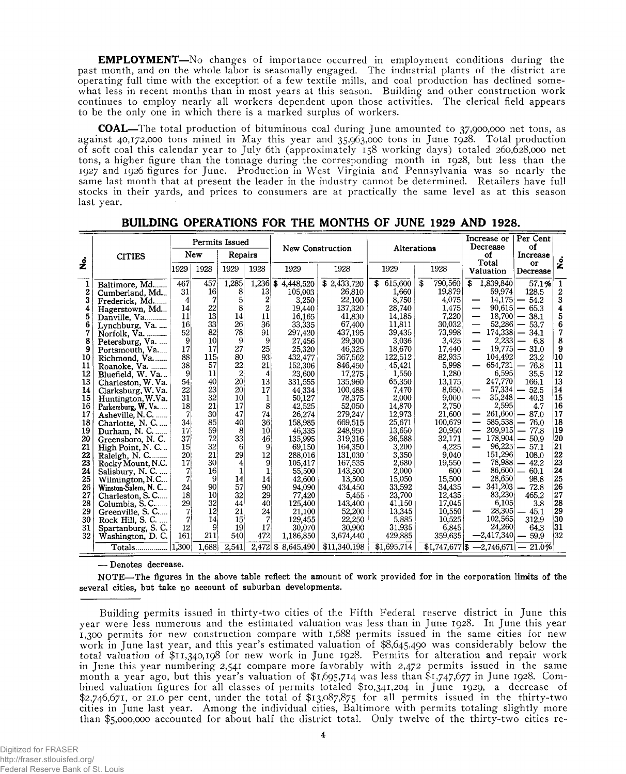**EMPLOYMENT**—No changes of importance occurred in employment conditions during the past month, and on the whole labor is seasonally engaged. The industrial plants of the district are operating full time with the exception of a few textile mills, and coal production has declined somewhat less in recent months than in most years at this season. Building and other construction work continues to employ nearly all workers dependent upon those activities. The clerical field appears to be the only one in which there is a marked surplus of workers.

**COAL**—The total production of bituminous coal during June amounted to 37,900,000 net tons, as against 40,172,000 tons mined in May this year and 35,963,000 tons in June 1928. Total production of soft coal this calendar year to July 6th (approximately 158 working days) totaled 260,628,000 net tons, a higher figure than the tonnage during the corresponding month in 1928, but less than the 1927 and 1926 figures for June. Production in West Virginia and Pennsylvania was so nearly the same last month that at present the leader in the industry cannot be determined. Retailers have full stocks in their yards, and prices to consumers are at practically the same level as at this season last year.

|    |                           |                 | <b>Permits Issued</b><br>New<br>Repairs |                | <b>New Construction</b> |                    | <b>Alterations</b> |               | Increase or<br>Decrease<br>of | Per Cent<br>οf<br>Increase         |                |                          |
|----|---------------------------|-----------------|-----------------------------------------|----------------|-------------------------|--------------------|--------------------|---------------|-------------------------------|------------------------------------|----------------|--------------------------|
| ż  | <b>CITIES</b>             | 1929            | 1928                                    | 1929           | 1928                    | 1929               | 1928               | 1929          | 1928                          | Total<br>Valuation                 | or<br>Decrease | 。<br>2                   |
| 1  | Baltimore, Md             | 467             | 457                                     | 1,285          | $1,236$ \$              | 4,448,520          | \$2,433,720        | 615,600<br>\$ | 790,560<br>S                  | 1,839,840<br>\$                    | 57.1%          | 1                        |
| 2  | Cumberland, Md            | 31              | 16 <sup>1</sup>                         | 8              | 13 <sup>°</sup>         | 105,003            | 26,810             | 1,660         | 19,879                        | 59,974                             | 128.5          | $\boldsymbol{2}$         |
| 3  | Frederick, Md             | 4               | 7                                       | 5              | $\boldsymbol{2}$        | 3,250              | 22,100             | 8,750         | 4.075                         | 14,175<br>—                        | 54.2           | 3                        |
| 4  | Hagerstown, Md            | 14              | 22                                      | 8              | 2                       | 19,440             | 137,320            | 28,740        | 1,475                         | 90,615<br>$\overline{\phantom{0}}$ | 65.3           | 4                        |
| 5  | Danville, Va              | 11              | 13 <sup>1</sup>                         | 14             | 11                      | 16.165             | 41,830             | 14.185        | 7,220                         | 18.700<br>مسد                      | 38.1           | 5                        |
| 6  | Lynchburg, Va.            | 16              | 33                                      | 26             | 36                      | 33.335             | 67,400             | 11,811        | 30,032                        | 52.286<br>—                        | 53.7           | 6                        |
| 7  | Norfolk, Va.              | 52              | 82                                      | 78             | 91                      | 297,420            | 437,195            | 39,435        | 73,998                        | 174,338                            | 34.1           | $\overline{\mathcal{U}}$ |
| 8  | Petersburg, Va.           | 9               | 10                                      | 9              | 9                       | 27,456             | 29,300             | 3,036         | 3.425                         | 2.233<br>—                         | 6.8            | 8                        |
| 9  | Portsmouth, Va            | 17              | 17                                      | 27.            | 25                      | 25,320             | 46,325             | 18,670        | 17,440                        | 19.775                             | 31.0           | 9                        |
| 10 | Richmond, Va              | 88              | 115                                     | 80.            | 93                      | 432,477            | 367,562            | 122,512       | 82,935                        | 104,492                            | 23.2           | 10                       |
| 11 | Roanoke, Va.              | 38              | 57                                      | 22             | 21                      | 152,306            | 846,450            | 45,421        | 5,998                         | 654,721                            | 76.8           | 11                       |
| 12 | Bluefield, W. Va          | 9               | 11                                      | $\overline{c}$ | 4                       | 23.600             | 17,275             | 1.550         | 1.280                         | 6,595                              | 35.5           | 12                       |
| 13 | Charleston, W. Va.        | 54              | 40                                      | 20             | 13                      | 331,555            | 135,960            | 65,350        | 13,175                        | 247,770                            | 166.1          | 13                       |
| 14 | Clarksburg, W. Va.        | 22              | 23                                      | 20I            | 17                      | 44 3 34            | 100,488            | 7,470         | 8.650                         | 57,334                             | $-52.5$        | 14                       |
| 15 | Huntington, W.Va.         | 31              | 32                                      | 10             | 1                       | 50,127             | 78,375             | 2,000         | 9,000                         | 35,248                             | 40.3           | 15                       |
| 16 | Parkersburg, W. Va        | 18              | 21                                      | 17             | 8                       | 42,525             | 52,050             | 14,870        | 2,750                         | 2,595                              | 4.7            | 16                       |
| 17 | Asheville, N.C.           | $\overline{7}$  | 30 <sup>′</sup>                         | 47             | 74                      | 26.274             | 279,247            | 12,973        | 21,600                        | 261,600                            | $-87.0$        | 17                       |
| 18 | Charlotte, N. C           | 34              | 85                                      | 40             | 36 <sup>°</sup>         | 158,985            | 669,515            | 25.671        | 100,679                       | 585,538                            | 76.0           | 18                       |
| 19 | Durham, N.C.              | 17              | 59                                      | 8              | 10 <sup>1</sup>         | 46,335             | 248,950            | 13.650        | 20.950                        | 209,915                            | 77.8           | 19                       |
| 20 | Greensboro, N.C.          | 37              | 72                                      | 33             | 46                      | 135,995            | 319,316            | 36,588        | 32,171                        | 178,904                            | $-50.9$        | 20                       |
| 21 | High Point, N. C          | 15 <sup>1</sup> | 32                                      | 6              | 9                       | 69,150             | 164,350            | 3,200         | 4,225                         | 96,225<br>—                        | $-57.1$        | 21                       |
| 22 | Raleigh, N. C             | 20 <sup>1</sup> | 21                                      | 29             | 12                      | 288,016            | 131,030            | 3,350         | 9.040                         | 151,296                            | 108.0          | 22                       |
| 23 | Rocky Mount, N.C.         | 17              | 30                                      | 4              | 9                       | 105,417            | 167,535            | 2,680         | 19,550                        | 78,988                             | $-42.2$        | 23                       |
| 24 | Salisbury, N.C            | 7               | 16 <sup>°</sup>                         | 1              | Ţ.                      | 55,500             | 143,500            | 2,000         | 600                           | 86,600                             | 60.1           | 24                       |
| 25 | Wilmington, N.C           | $\overline{7}$  | 9                                       | 14             | 14                      | 42,600             | 13,500             | 15,050        | 15,500                        | 28,650                             | 98.8           | 25                       |
| 26 | Winston-Salem, N. C.      | 24              | 90                                      | 57             | 90                      | 94.090             | 434,450            | 33,592        | 34,435                        | 341,203                            | $-72.8$        | 26                       |
| 27 | Charleston, S.C           | 18              | 10                                      | 32             | 29                      | 77,420             | 5.455              | 23,700        | 12.435                        | 83,230                             | 465.2          | 27                       |
| 28 | Columbia, S.C             | 29              | 32                                      | 44             | 40                      | 125,400            | 143,400            | 41.150        | 17,045                        | 6,105                              | 3.8            | 28                       |
| 29 | Greenville, S. C          | 7               | 12                                      | 21             | 24                      | 21,100             | 52,200             | 13,345        | 10,550                        | 28,305                             | 45.1           | 29                       |
| 30 | Rock Hill, S. C.<br>1.111 | 7               | 14                                      | 15             | 7                       | 129,455            | 22,250             | 5,885         | 10.525                        | 102,565                            | 312.9          | 130                      |
| 31 | Spartanburg, S. C.        | $12^{\circ}$    | 9                                       | 19             | 17                      | 30,070             | 30,900             | 31.935        | 6,845                         | 24,260                             | 64.3           | 31                       |
| 32 | Washington, D.C.          | 161             | 211                                     | 540            | 472                     | 1,186,850          | 3,674,440          | 429,885       | 359,635                       | $-2,417,340$                       | 59.9           | 32                       |
|    | Totals                    | 1.300           | 1.688                                   | 2.541          |                         | 2.472 \$ 8.645.490 | \$11,340,198       | \$1,695,714   | $$1,747,677$ \\$              | $-2,746,671$                       | 21.0%          |                          |

**BUILDING OPERATIONS FOR THE MONTHS OF JUNE 1929 AND 1928.**

— Denotes decrease.

NOTE—The figures in the above table reflect the amount of work provided for in the corporation limits of the several cities, but take no account of suburban developments.

Building permits issued in thirty-two cities of the Fifth Federal reserve district in June this year were less numerous and the estimated valuation was less than in June 1928. In June this year 1,300 permits for new construction compare with 1,688 permits issued in the same cities for new work in June last year, and this year's estimated valuation of \$8,645,490 was considerably below the total valuation of \$11,340,198 for new work in June 1928. Permits for alteration and repair work in June this year numbering 2,541 compare more favorably with 2,472 permits issued in the same month a year ago, but this year's valuation of \$1,695,714 was less than \$1,747,677 in June 1928. Combined valuation figures for all classes of permits totaled \$10,341,204 in June 1929, a decrease of \$2,746,671, or 21.0 per cent, under the total of \$13,087,875 for all permits issued in the thirty-two cities in June last year. Among the individual cities, Baltimore with permits totaling slightly more than \$5,000,000 accounted for about half the district total. Only twelve of the thirty-two cities re-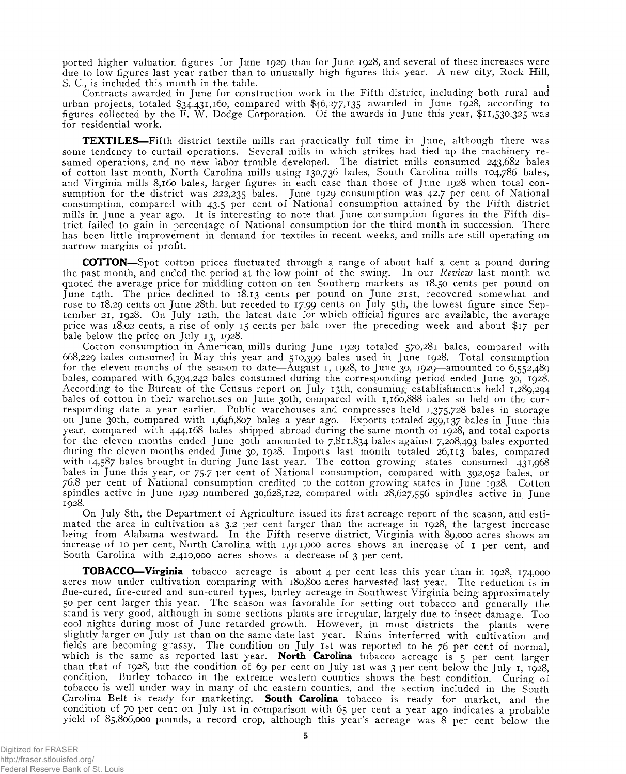ported higher valuation figures for June 1929 than for June 1928, and several of these increases were due to low figures last year rather than to unusually high figures this year. A new city, Rock Hill, S. C., is included this month in the table. *i*

Contracts awarded in June for construction work in the Fifth district, including both rural and urban projects, totaled \$34,431,160, compared with \$46,277,135 awarded in June 1928, according to figures collected by the F. W. Dodge Corporation. Of the awards in June this year, \$11,530,325 was for residential work.

**TEXTILES**—Fifth district textile mills ran practically full time in June, although there was some tendency to curtail operations. Several mills in which strikes had tied up the machinery resumed operations, and no new labor trouble developed. The district mills consumed 243,682 bales of cotton last month, North Carolina mills using 130,736 bales, South Carolina mills 104,786 bales, and Virginia mills 8,160 bales, larger figures in each case than those of June 1928 when total consumption for the district was 222,235 bales. June 1929 consumption was 42.7 per cent of National consumption, compared with 43.5 per cent of National consumption attained by the Fifth district mills in June a year ago. It is interesting to note that June consumption figures in the Fifth district failed to gain in percentage of National consumption for the third month in succession. There has been little improvement in demand for textiles in recent weeks, and mills are still operating on narrow margins of profit.

**COTTON—**Spot cotton prices fluctuated through a range of about half a cent a pound during the past month, and ended the period at the low point of the swing. In our *Review* last month we quoted the average price for middling cotton on ten Southern markets as 18.50 cents per pound on June 14th. The price declined to 18.13 cents per pound on June 21st, recovered somewhat and rose to 18.29 cents on June 28th, but receded to 17.99 cents on July 5th, the lowest figure since September 21, 1928. On July 12th, the latest date for which official figures are available, the average price was 18.02 cents, a rise of only 15 cents per bale over the preceding week and about \$17 per bale below the price on July 13, 1928.

Cotton consumption in American mills during June 1929 totaled 570,281 bales, compared with 668,229 bales consumed in May this year and 510,399 bales used in June 1928. Total consumption for the eleven months of the season to date—August 1, 1928, to June 30, 1929—amounted to 6,552,489 bales, compared with 6,394,242 bales consumed during the corresponding period ended June 30, 1928. According to the Bureau of the Census report on July 13th, consuming establishments held 1,289,294 bales of cotton in their warehouses on June 30th, compared with 1,160,888 bales so held on the corresponding date a year earlier. Public warehouses and compresses held 1,375,728 bales in storage on June 30th, compared with 1,646,807 bales a year ago. Exports totaled 299,137 bales in June this year, compared with 444,168 bales shipped abroad during the same month of 1928, and total exports for the eleven months ended June 30th amounted to 7,811,834 bales against 7,208,493 bales exported during the eleven months ended June 30, 1928. Imports last month totaled 26,113 bales, compared with 14,587 bales brought in during June last year. The cotton growing states consumed 431,968 bales in June this year, or 75.7 per cent of National consumption, compared with 392,052 bales, or 76.8 per cent of National consumption credited to the cotton growing states in June 1928. Cotton spindles active in June 1929 numbered 30,628,122, compared with 28,627,556 spindles active in June 1928.

On July 8th, the Department of Agriculture issued its first acreage report of the season, and estimated the area in cultivation as 3.2 per cent larger than the acreage in 1928, the largest increase being from Alabama westward. In the Fifth reserve district, Virginia with 89,000 acres shows an increase of 10 per cent, North Carolina with 1,911,000 acres shows an increase of 1 per cent, and South Carolina with 2,410,000 acres shows a decrease of 3 per cent.

**TOBACCO—Virginia** tobacco acreage is about 4 per cent less this year than in 1928, 174,000 acres now under cultivation comparing with 180,800 acres harvested last year. The reduction is in flue-cured, fire-cured and sun-cured types, burley acreage in Southwest Virginia being approximately 50 per cent larger this year. The season was favorable for setting out tobacco and generally the stand is very good, although in some sections plants are irregular, largely due to insect damage. Too cool nights during most of June retarded growth. However, in most districts the plants were slightly larger on July 1st than on the same date last year. Rains interferred with cultivation and fields are becoming grassy. The condition on July 1st was reported to be 76 per cent of normal, which is the same as reported last year. North Carolina tobacco acreage is 5 per cent larger than that of 1928, but the condition of 69 per cent on July 1st was 3 per cent below the July 1, 1928, condition. Burley tobacco in the extreme western counties shows the best condition. Curing of tobacco is well under way in many of the eastern counties, and the section included in the South Carolina Belt is ready for marketing. **South Carolina** tobacco is ready for market, and the condition of 70 per cent on July 1st in comparison with 65 per cent a year ago indicates a probable yield of 85,806,000 pounds, a record crop, although this year's acreage was 8 per cent below the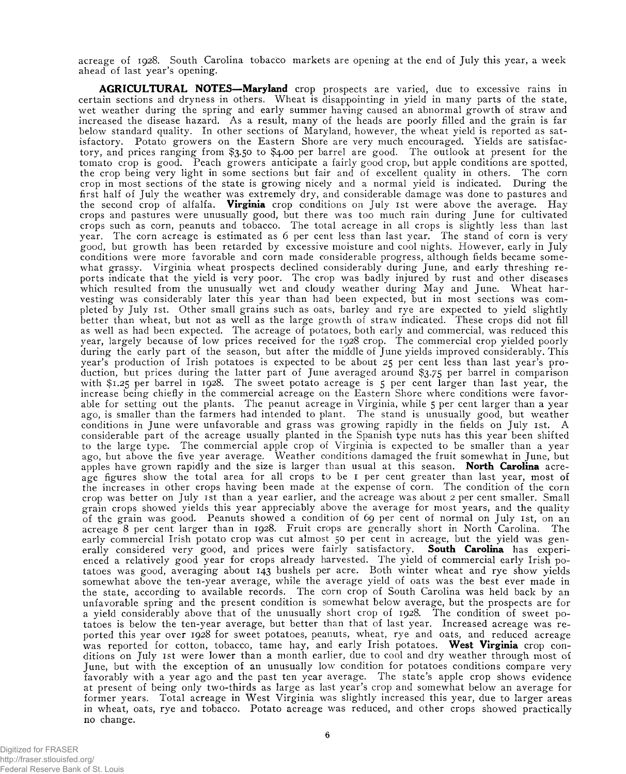acreage of 1928. South Carolina tobacco markets are opening at the end of July this year, a week ahead of last year's opening.

**AGRICULTURAL NOTES—Maryland** crop prospects are varied, due to excessive rains in certain sections and dryness in others. Wheat is disappointing in yield in many parts of the state, wet weather during the spring and early summer having caused an abnormal growth of straw and increased the disease hazard. As a result, many of the heads are poorly filled and the grain is far below standard quality. In other sections of Maryland, however, the wheat yield is reported as satisfactory. Potato growers on the Eastern Shore are very much encouraged. Yields are satisfactory, and prices ranging from \$3.50 to \$4.00 per barrel are good. The outlook at present for the tomato crop is good. Peach growers anticipate a fairly good crop, but apple conditions are spotted, the crop being very light in some sections but fair and of excellent quality in others. The corn crop in most sections of the state is growing nicely and a normal yield is indicated. During the first half of July the weather was extremely dry, and considerable damage was done to pastures and the second crop of alfalfa. **Virginia** crop conditions on July ist were above the average. Hay crops and pastures were unusually good, but there was too much rain during June for cultivated crops such as corn, peanuts and tobacco. The total acreage in all crops is slightly less than last year. The corn acreage is estimated as 6 per cent less than last year. The stand of corn is very good, but growth has been retarded by excessive moisture and cool nights. However, early in July conditions were more favorable and corn made considerable progress, although fields became somewhat grassy. Virginia wheat prospects declined considerably during June, and early threshing reports indicate that the yield is very poor. The crop was badly injured by rust and other diseases which resulted from the unusually wet and cloudy weather during May and June. Wheat harvesting was considerably later this year than had been expected, but in most sections was completed by July ist. Other small grains such as oats, barley and rye are expected to yield slightly better than wheat, but not as well as the large growth of straw indicated. These crops did not fill as well as had been expected. The acreage of potatoes, both early and commercial, was reduced this year, largely because of low prices received for the 1928 crop. The commercial crop yielded poorly during the early part of the season, but after the middle of June yields improved considerably. This year's production of Irish potatoes is expected to be about 25 per cent less than last year's production, but prices during the latter part of June averaged around \$3.75 per barrel in comparison with \$1.25 per barrel in 1928. The sweet potato acreage is 5 per cent larger than last year, the increase being chiefly in the commercial acreage on the Eastern Shore where conditions were favorable for setting out the plants. The peanut acreage in Virginia, while 5 per cent larger than a year ago, is smaller than the farmers had intended to plant. The stand is unusually good, but weather conditions in June were unfavorable and grass was growing rapidly in the fields on July ist. A considerable part of the acreage usually planted in the Spanish type nuts has this year been shifted to the large type. The commercial apple crop of Virginia is expected to be smaller than a year ago, but above the five year average. Weather conditions damaged the fruit somewhat in June, but apples have grown rapidly and the size is larger than usual at this season. **North Carolina** acreage figures show the total area for all crops to be 1 per cent greater than last year, most of the increases in other crops having been made at the expense of corn. The condition of the corn crop was better on July ist than a year earlier, and the acreage was about 2 per cent smaller. Small grain crops showed yields this year appreciably above the average for most years, and the quality of the grain was good. Peanuts showed a condition of 69 per cent of normal on July ist, on an acreage 8 per cent larger than in 1928. Fruit crops are generally short in North Carolina. The early commercial Irish potato crop was cut almost 50 per cent in acreage, but the yield was generally considered very good, and prices were fairly satisfactory. **South Carolina** has experienced a relatively good year for crops already harvested. The yield of commercial early Irish potatoes was good, averaging about 143 bushels per acre. Both winter wheat and rye show yields somewhat above the ten-year average, while the average yield of oats was the best ever made in the state, according to available records. The corn crop of South Carolina was held back by an unfavorable spring and the present condition is somewhat below average, but the prospects are for a yield considerably above that of the unusually short crop of 1928. The condition of sweet potatoes is below the ten-year average, but better than that of last year. Increased acreage was reported this year over 1928 for sweet potatoes, peanuts, wheat, rye and oats, and reduced acreage was reported for cotton, tobacco, tame hay, and early Irish potatoes. West **Virginia** crop conditions on July ist were lower than a month earlier, due to cool and dry weather through most of June, but with the exception of an unusually low condition for potatoes conditions compare very favorably with a year ago and the past ten year average. The state's apple crop shows evidence at present of being only two-thirds as large as last year's crop and somewhat below an average for former years. Total acreage in West Virginia was slightly increased this year, due to larger areas in wheat, oats, rye and tobacco. Potato acreage was reduced, and other crops showed practically no change.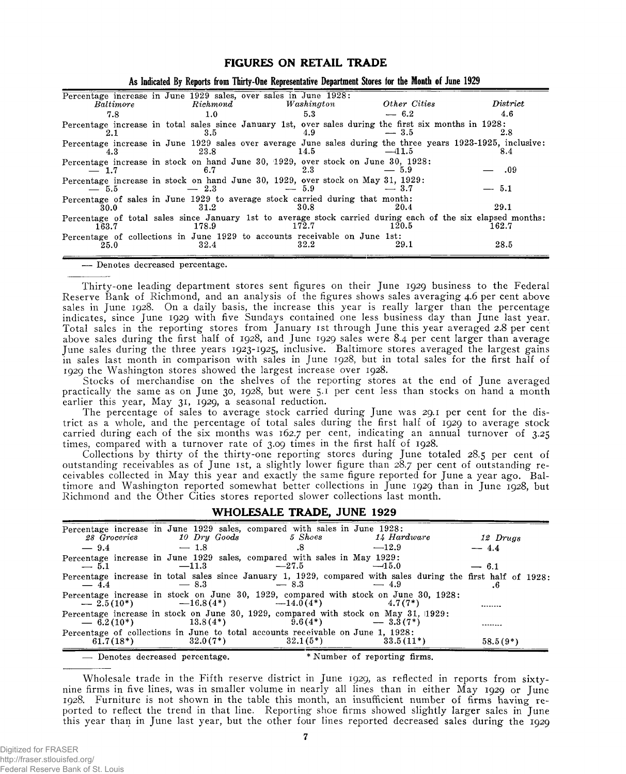#### **FIGURES ON RETAIL TRADE**

| Baltimore | Richard | Percentage increase in June 1929 sales, over sales in June 1928:<br>Washington                                       | Other Cities | District |
|-----------|---------|----------------------------------------------------------------------------------------------------------------------|--------------|----------|
| 7.8       | 1.0     | 5.3                                                                                                                  | $-6.2$       | 4.6      |
| 2.1       | 3.5     | Percentage increase in total sales since January 1st, over sales during the first six months in 1928:<br>4.9         | $-3.5$       | 2.8      |
| 4.3       | 23.8    | Percentage increase in June 1929 sales over average June sales during the three years 1923-1925, inclusive:<br>14.5  | $-11.5$      | 8.4      |
| $-1.7$    | 6.7     | Percentage increase in stock on hand June 30, 1929, over stock on June 30, 1928:<br>2.3                              | — 5.9        | .09      |
| $-5.5$    | $-2.3$  | Percentage increase in stock on hand June 30, 1929, over stock on May 31, 1929:<br>$-5.9$                            | $-3.7$       | $-5.1$   |
| 30.0      | 31.2    | Percentage of sales in June 1929 to average stock carried during that month:<br>30.8                                 | 20.4         | 29.1     |
| $163.7\,$ | 178.9   | Percentage of total sales since January 1st to average stock carried during each of the six elapsed months:<br>172.7 | 120.5        | 162.7    |
| 25.0      | 32.4    | Percentage of collections in June 1929 to accounts receivable on June 1st:<br>32.2                                   | 29.1         | 28.5     |

| As Indicated By Reports from Thirty-One Representative Department Stores for the Month of June 1929 |
|-----------------------------------------------------------------------------------------------------|
|-----------------------------------------------------------------------------------------------------|

— Denotes decreased percentage.

Thirty-one leading department stores sent figures on their June 1929 business to the Federal Reserve Bank of Richmond, and an analysis of the figures shows sales averaging 4.6 per cent above sales in June 1928. On a daily basis, the increase this year is really larger than the percentage indicates, since June 1929 with five Sundays contained one less business day than June last year. Total sales in the reporting stores from January 1st through June this year averaged 2.8 per cent above sales during the first half of 1928, and June 1929 sales were 8.4 per cent larger than average June sales during the three years 1923-1925, inclusive. Baltimore stores averaged the largest gains in sales last month in comparison with sales in June 1928, but in total sales for the first half of 1929 the Washington stores showed the largest increase over 1928.

Stocks of merchandise on the shelves of the reporting stores at the end of June averaged practically the same as on June 30, 1928, but were 5.1 per cent less than stocks on hand a month earlier this year, May 31, 1929, a seasonal reduction.

The percentage of sales to average stock carried during June was 29.1 per cent for the district as a whole, and the percentage of total sales during the first half of 1929 to average stock carried during each of the six months was 162.7 per cent, indicating an annual turnover of 3.25 times, compared with a turnover rate of 3.09 times in the first half of 1928.

Collections by thirty of the thirty-one reporting stores during June totaled 28.5 per cent of outstanding receivables as of June 1st, a slightly lower figure than 28.7 per cent of outstanding receivables collected in May this year and exactly the same figure reported for June a year ago. Baltimore and Washington reported somewhat better collections in June 1929 than in June 1928, but Richmond and the Other Cities stores reported slower collections last month.

#### WHOLESALE TRADE, JUNE 1929

| 28 Groceries | 10 Dru Goods                    | Percentage increase in June 1929 sales, compared with sales in June 1928:<br>$5\,$ Shoes         | 14 Hardware                                                                                                            | 12 Drugs   |
|--------------|---------------------------------|--------------------------------------------------------------------------------------------------|------------------------------------------------------------------------------------------------------------------------|------------|
| $-9.4$       | $-1.8$                          | $.8^{\circ}$                                                                                     | $-12.9$                                                                                                                | $-4.4$     |
|              |                                 |                                                                                                  |                                                                                                                        |            |
| $-5.1$       | $-11.3$                         | Percentage increase in June 1929 sales, compared with sales in May 1929:<br>$-27.5$              | $-15.0$                                                                                                                | $-6.1$     |
| $-4.4$       | $-8.3$                          | $-8.3$                                                                                           | Percentage increase in total sales since January 1, 1929, compared with sales during the first half of 1928:<br>$-4.9$ |            |
| $-2.5(10^*)$ | $-16.8(4^*)$ $-14.0(4^*)$       |                                                                                                  | Percentage increase in stock on June 30, 1929, compared with stock on June 30, 1928:<br>$4.7(7*)$                      |            |
| $-6.2(10*)$  | $13.8(4*)$                      | Percentage increase in stock on June 30, 1929, compared with stock on May 31, 1929;<br>$9.6(4*)$ | $-3.3(7*)$                                                                                                             |            |
| $61.7(18*)$  | $32.0(7^*)$                     | Percentage of collections in June to total accounts receivable on June 1, 1928:<br>$32.1(5^*)$   | $33.5(11*)$                                                                                                            | $58.5(9*)$ |
|              | - Denotes decreased percentage. |                                                                                                  | * Number of reporting firms.                                                                                           |            |

Wholesale trade in the Fifth reserve district in June 1929, as reflected in reports from sixtynine firms in five lines, was in smaller volume in nearly all lines than in either May 1929 or June 1928. Furniture is not shown in the table this month, an insufficient number of firms having reported to reflect the trend in that line. Reporting shoe firms showed slightly larger sales in June this year than in June last year, but the other four lines reported decreased sales during the 1929